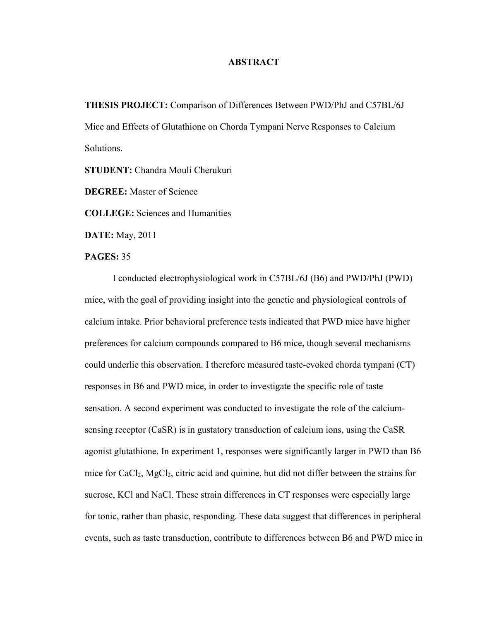## **ABSTRACT**

**THESIS PROJECT:** Comparison of Differences Between PWD/PhJ and C57BL/6J Mice and Effects of Glutathione on Chorda Tympani Nerve Responses to Calcium Solutions.

**STUDENT:** Chandra Mouli Cherukuri

**DEGREE:** Master of Science

**COLLEGE:** Sciences and Humanities

**DATE:** May, 2011

## **PAGES:** 35

 I conducted electrophysiological work in C57BL/6J (B6) and PWD/PhJ (PWD) mice, with the goal of providing insight into the genetic and physiological controls of calcium intake. Prior behavioral preference tests indicated that PWD mice have higher preferences for calcium compounds compared to B6 mice, though several mechanisms could underlie this observation. I therefore measured taste-evoked chorda tympani (CT) responses in B6 and PWD mice, in order to investigate the specific role of taste sensation. A second experiment was conducted to investigate the role of the calciumsensing receptor (CaSR) is in gustatory transduction of calcium ions, using the CaSR agonist glutathione. In experiment 1, responses were significantly larger in PWD than B6 mice for CaCl<sub>2</sub>, MgCl<sub>2</sub>, citric acid and quinine, but did not differ between the strains for sucrose, KCl and NaCl. These strain differences in CT responses were especially large for tonic, rather than phasic, responding. These data suggest that differences in peripheral events, such as taste transduction, contribute to differences between B6 and PWD mice in